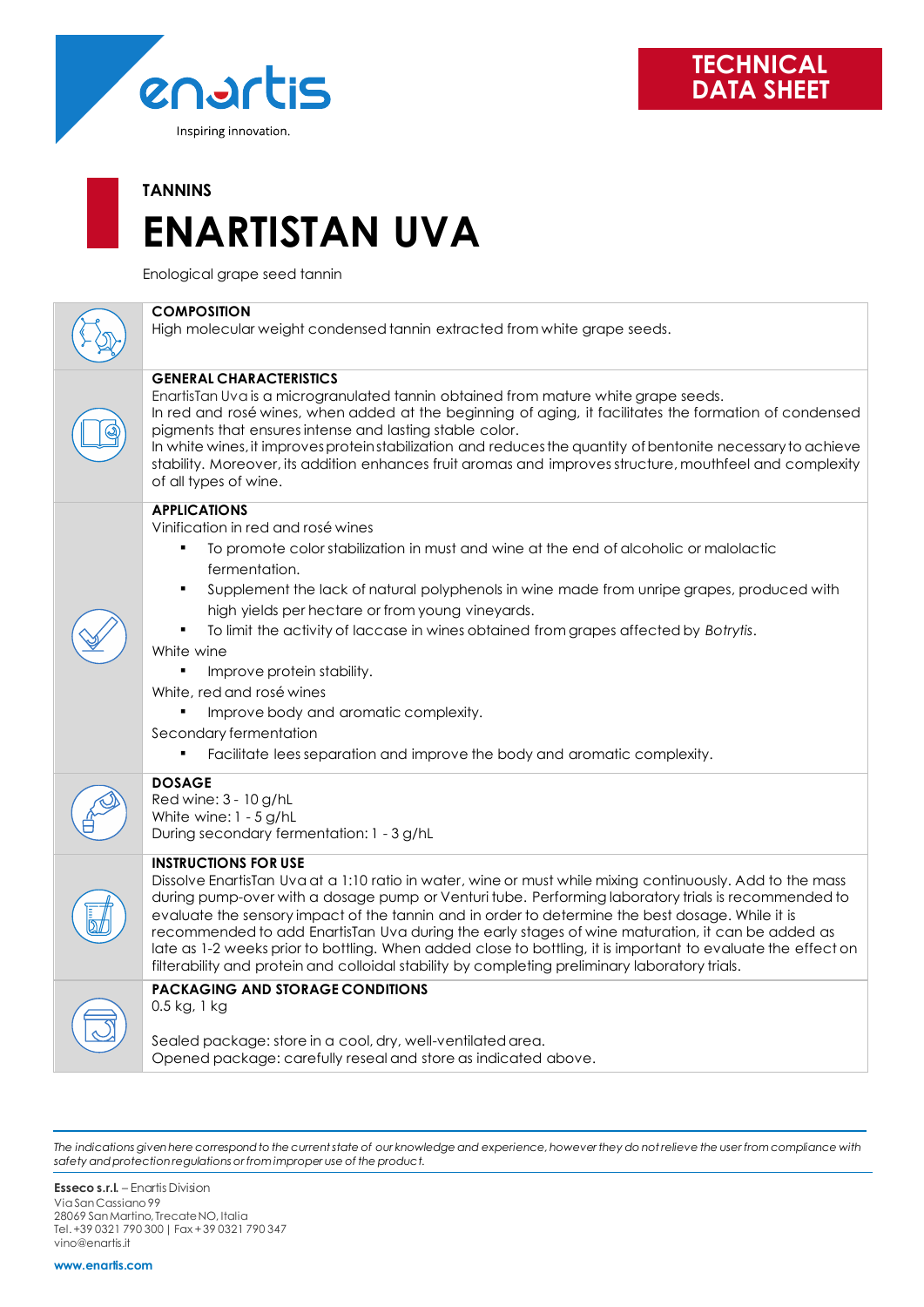

## **TANNINS ENARTISTAN UVA**

Enological grape seed tannin



*The indications given here correspond to the current state of our knowledge and experience, however they do not relieve the user from compliance with safety and protection regulations or from improper use of the product.*

**Esseco s.r.l.** – Enartis Division Via San Cassiano 99 28069 San Martino, Trecate NO, Italia Tel. +39 0321 790 300 | Fax + 39 0321 790 347 vino@enartis.it

**www.enartis.com**